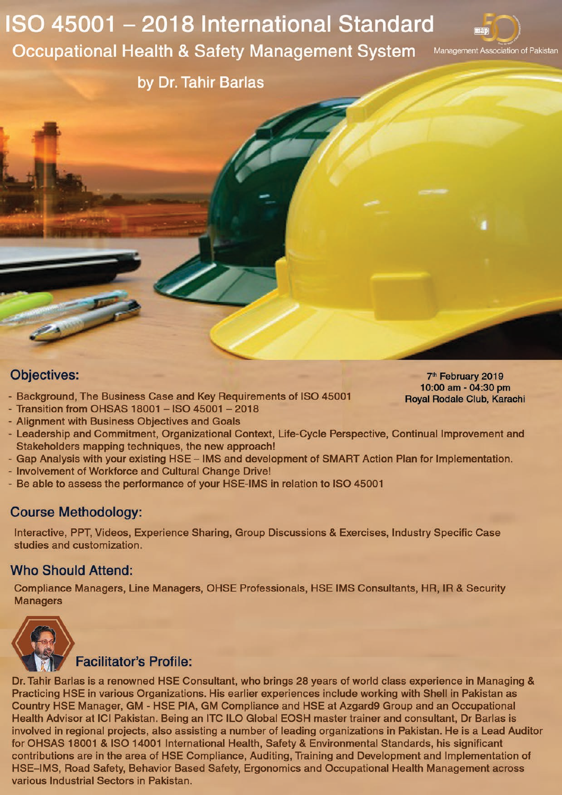## ISO 45001 - 2018 International Standard **Occupational Health & Safety Management System**



by Dr. Tahir Barlas

## **Objectives:**

- Background, The Business Case and Key Requirements of ISO 45001 - Transition from OHSAS 18001 - ISO 45001 - 2018
- 7<sup>th</sup> February 2019 10:00 am - 04:30 pm Royal Rodale Club, Karachi
- Alignment with Business Objectives and Goals - Leadership and Commitment, Organizational Context, Life-Cycle Perspective, Continual Improvement and Stakeholders mapping techniques, the new approach!
- Gap Analysis with your existing HSE IMS and development of SMART Action Plan for Implementation.
- Involvement of Workforce and Cultural Change Drive!
- Be able to assess the performance of your HSE-IMS in relation to ISO 45001

## **Course Methodology:**

Interactive, PPT, Videos, Experience Sharing, Group Discussions & Exercises, Industry Specific Case studies and customization.

## **Who Should Attend:**

Compliance Managers, Line Managers, OHSE Professionals, HSE IMS Consultants, HR, IR & Security **Managers** 



**Facilitator's Profile:** 

Dr. Tahir Barlas is a renowned HSE Consultant, who brings 28 years of world class experience in Managing & Practicing HSE in various Organizations. His earlier experiences include working with Shell in Pakistan as Country HSE Manager, GM - HSE PIA, GM Compliance and HSE at Azgard9 Group and an Occupational Health Advisor at ICI Pakistan. Being an ITC ILO Global EOSH master trainer and consultant, Dr Barlas is involved in regional projects, also assisting a number of leading organizations in Pakistan. He is a Lead Auditor for OHSAS 18001 & ISO 14001 International Health, Safety & Environmental Standards, his significant contributions are in the area of HSE Compliance, Auditing, Training and Development and Implementation of HSE-IMS, Road Safety, Behavior Based Safety, Ergonomics and Occupational Health Management across various Industrial Sectors in Pakistan.